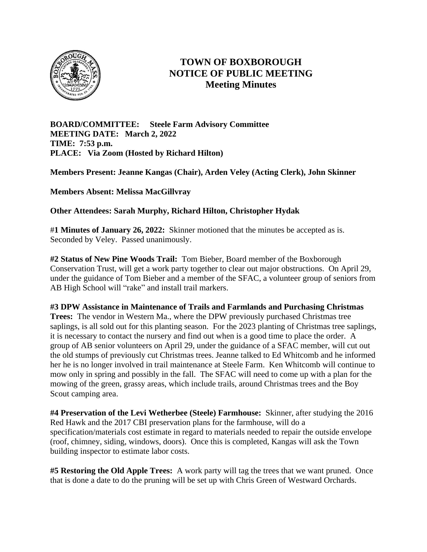

## **TOWN OF BOXBOROUGH NOTICE OF PUBLIC MEETING Meeting Minutes**

**BOARD/COMMITTEE: Steele Farm Advisory Committee MEETING DATE: March 2, 2022 TIME: 7:53 p.m. PLACE: Via Zoom (Hosted by Richard Hilton)**

**Members Present: Jeanne Kangas (Chair), Arden Veley (Acting Clerk), John Skinner**

**Members Absent: Melissa MacGillvray**

**Other Attendees: Sarah Murphy, Richard Hilton, Christopher Hydak**

#**1 Minutes of January 26, 2022:** Skinner motioned that the minutes be accepted as is. Seconded by Veley. Passed unanimously.

**#2 Status of New Pine Woods Trail:** Tom Bieber, Board member of the Boxborough Conservation Trust, will get a work party together to clear out major obstructions. On April 29, under the guidance of Tom Bieber and a member of the SFAC, a volunteer group of seniors from AB High School will "rake" and install trail markers.

## **#3 DPW Assistance in Maintenance of Trails and Farmlands and Purchasing Christmas**

**Trees:** The vendor in Western Ma., where the DPW previously purchased Christmas tree saplings, is all sold out for this planting season. For the 2023 planting of Christmas tree saplings, it is necessary to contact the nursery and find out when is a good time to place the order. A group of AB senior volunteers on April 29, under the guidance of a SFAC member, will cut out the old stumps of previously cut Christmas trees. Jeanne talked to Ed Whitcomb and he informed her he is no longer involved in trail maintenance at Steele Farm. Ken Whitcomb will continue to mow only in spring and possibly in the fall.The SFAC will need to come up with a plan for the mowing of the green, grassy areas, which include trails, around Christmas trees and the Boy Scout camping area.

**#4 Preservation of the Levi Wetherbee (Steele) Farmhouse:** Skinner, after studying the 2016 Red Hawk and the 2017 CBI preservation plans for the farmhouse, will do a specification/materials cost estimate in regard to materials needed to repair the outside envelope (roof, chimney, siding, windows, doors). Once this is completed, Kangas will ask the Town building inspector to estimate labor costs.

**#5 Restoring the Old Apple Trees:** A work party will tag the trees that we want pruned. Once that is done a date to do the pruning will be set up with Chris Green of Westward Orchards.